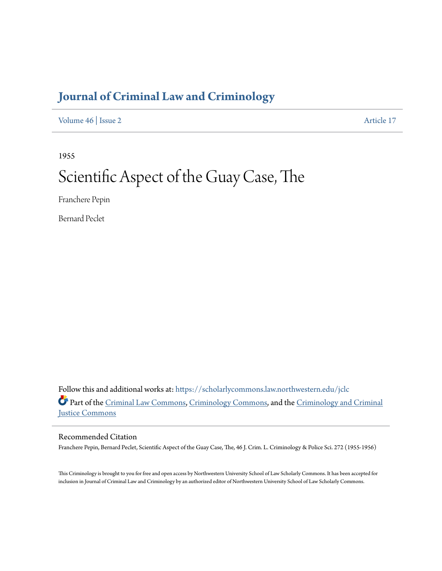# **[Journal of Criminal Law and Criminology](https://scholarlycommons.law.northwestern.edu/jclc?utm_source=scholarlycommons.law.northwestern.edu%2Fjclc%2Fvol46%2Fiss2%2F17&utm_medium=PDF&utm_campaign=PDFCoverPages)**

[Volume 46](https://scholarlycommons.law.northwestern.edu/jclc/vol46?utm_source=scholarlycommons.law.northwestern.edu%2Fjclc%2Fvol46%2Fiss2%2F17&utm_medium=PDF&utm_campaign=PDFCoverPages) | [Issue 2](https://scholarlycommons.law.northwestern.edu/jclc/vol46/iss2?utm_source=scholarlycommons.law.northwestern.edu%2Fjclc%2Fvol46%2Fiss2%2F17&utm_medium=PDF&utm_campaign=PDFCoverPages) [Article 17](https://scholarlycommons.law.northwestern.edu/jclc/vol46/iss2/17?utm_source=scholarlycommons.law.northwestern.edu%2Fjclc%2Fvol46%2Fiss2%2F17&utm_medium=PDF&utm_campaign=PDFCoverPages)

1955

# Scientific Aspect of the Guay Case, The

Franchere Pepin

Bernard Peclet

Follow this and additional works at: [https://scholarlycommons.law.northwestern.edu/jclc](https://scholarlycommons.law.northwestern.edu/jclc?utm_source=scholarlycommons.law.northwestern.edu%2Fjclc%2Fvol46%2Fiss2%2F17&utm_medium=PDF&utm_campaign=PDFCoverPages) Part of the [Criminal Law Commons](http://network.bepress.com/hgg/discipline/912?utm_source=scholarlycommons.law.northwestern.edu%2Fjclc%2Fvol46%2Fiss2%2F17&utm_medium=PDF&utm_campaign=PDFCoverPages), [Criminology Commons](http://network.bepress.com/hgg/discipline/417?utm_source=scholarlycommons.law.northwestern.edu%2Fjclc%2Fvol46%2Fiss2%2F17&utm_medium=PDF&utm_campaign=PDFCoverPages), and the [Criminology and Criminal](http://network.bepress.com/hgg/discipline/367?utm_source=scholarlycommons.law.northwestern.edu%2Fjclc%2Fvol46%2Fiss2%2F17&utm_medium=PDF&utm_campaign=PDFCoverPages) [Justice Commons](http://network.bepress.com/hgg/discipline/367?utm_source=scholarlycommons.law.northwestern.edu%2Fjclc%2Fvol46%2Fiss2%2F17&utm_medium=PDF&utm_campaign=PDFCoverPages)

# Recommended Citation

Franchere Pepin, Bernard Peclet, Scientific Aspect of the Guay Case, The, 46 J. Crim. L. Criminology & Police Sci. 272 (1955-1956)

This Criminology is brought to you for free and open access by Northwestern University School of Law Scholarly Commons. It has been accepted for inclusion in Journal of Criminal Law and Criminology by an authorized editor of Northwestern University School of Law Scholarly Commons.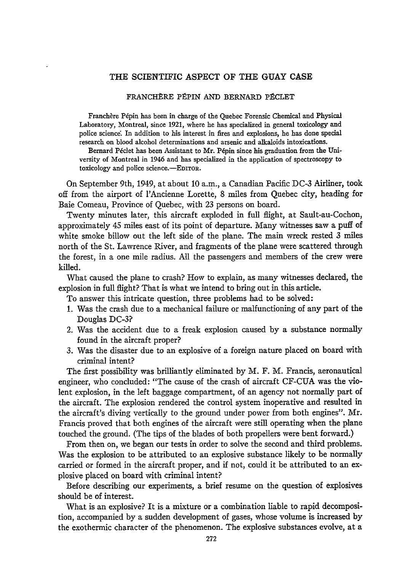#### THE SCIENTIFIC **ASPECT OF** THE **GUAY CASE**

#### FRANCHÈRE PÉPIN AND BERNARD PÉCLET

Franchère Pépin has been in charge of the Quebec Forensic Chemical and Physical Laboratory, Montreal, since **1921,** where he has specialized in general toxicology and police science. In addition to his interest in fires and explosions, he has done special research on blood alcohol determinations and arsenic and alkaloids intoxications.

Bernard Péclet has been Assistant to Mr. Pépin since his graduation from the University of Montreal in 1946 and has specialized in the application of spectroscopy to toxicology and police science.-EDITOR.

On September 9th, 1949, at about **10** a.m., a Canadian Pacific **DC-3** Airliner, took off from the airport of l'Ancienne Lorette, **8** miles from Quebec city, heading for Baie Comeau, Province of Quebec, with **23** persons on board.

Twenty minutes later, this aircraft exploded in full flight, at Sault-au-Cochon, approximately 45 miles east of its point of departure. Many witnesses saw a puff of white smoke billow out the left side of the plane. The main wreck rested **3** miles north of the St. Lawrence River, and fragments of the plane were scattered through the forest, in a one mile radius. **All** the passengers and members of the crew were killed.

What caused the plane to crash? How to explain, as many witnesses declared, the explosion in full flight? That is what we intend to bring out in this article.

To answer this intricate question, three problems had to be solved:

- **1.** Was the crash due to a mechanical failure or malfunctioning of any part of the Douglas **DC-3?**
- 2. Was the accident due to a freak explosion caused **by** a substance normally found in the aircraft proper?
- **3.** Was the disaster due to an explosive of a foreign nature placed on board with criminal intent?

The first possibility was brilliantly eliminated **by** M. F. M. Francis, aeronautical engineer, who concluded: "The cause of the crash of aircraft **CF-CUA** was the violent explosion, in the left baggage compartment, of an agency not normally part of the aircraft. The explosion rendered the control system inoperative and resulted in the aircraft's diving vertically to the ground under power from both engines". Mr. Francis proved that both engines of the aircraft were still operating when the plane touched the ground. (The tips of the blades of both propellers were bent forward.)

From then on, we began our tests in order to solve the second and third problems. Was the explosion to be attributed to an explosive substance likely to be normally carried or formed in the aircraft proper, and if not, could it be attributed to an explosive placed on board with criminal intent?

Before describing our experiments, a brief resume on the question of explosives should be of interest.

What is an explosive? It is a mixture or a combination liable to rapid decomposition, accompanied **by** a sudden development of gases, whose volume is increased **by** the exothermic character of the phenomenon. The explosive substances evolve, at a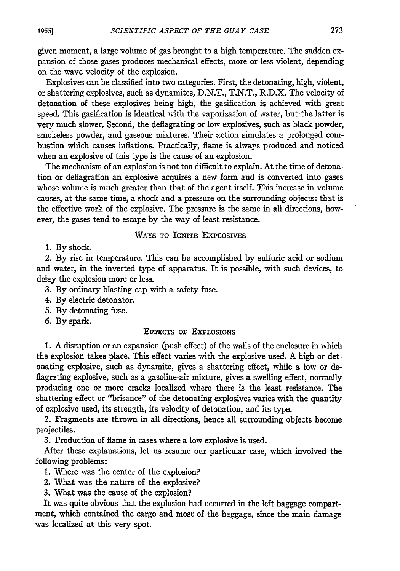given moment, a large volume of gas brought to a high temperature. The sudden expansion of those gases produces mechanical effects, more or less violent, depending on the wave velocity of the explosion.

Explosives can be classified into two categories. First, the detonating, high, violent, or shattering explosives, such as dynamites, D.N.T., T.N.T., R.D.X. The velocity of detonation of these explosives being high, the gasification is achieved with great speed. This gasification is identical with the vaporization of water, but- the latter is very much slower. Second, the deflagrating or low explosives, such as black powder, smokeless powder, and gaseous mixtures. Their action simulates a prolonged combustion which causes inflations. Practically, flame is always produced and noticed when an explosive of this type is the cause of an explosion.

The mechanism of an explosion is not too difficult to explain. At the time of detonation or deflagration an explosive acquires a new form and is converted into gases whose volume is much greater than that of the agent itself. This increase in volume causes, at the same time, a shock and a pressure on the surrounding objects: that is the effective work of the explosive. The pressure is the same in all directions, however, the gases tend to escape by the way of least resistance.

#### WAYS TO **IGNITE** ExpLosIVEs

1. By shock.

2. By rise in temperature. This can be accomplished by sulfuric acid or sodium and water, in the inverted type of apparatus. It is possible, with such devices, to delay the explosion more or less.

3. By ordinary blasting cap with a safety fuse.

- 4. By electric detonator.
- 5. By detonating fuse.
- 6. By spark.

## EFFECTS OF EXPLOSIONS

**1.** A disruption or an expansion (push effect) of the walls of the enclosure in which the explosion takes place. This effect varies with the explosive used. A high or detonating explosive, such as dynamite, gives a shattering effect, while a low or deflagrating explosive, such as a gasoline-air mixture, gives a swelling effect, normally producing one or more cracks localized where there is the least resistance. The shattering effect or "brisance" of the detonating explosives varies with the quantity of explosive used, its strength, its velocity of detonation, and its type.

2. Fragments are thrown in all directions, hence all surrounding objects become projectiles.

3. Production of flame in cases where a low explosive is used.

After these explanations, let us resume our particular case, which involved the following problems:

- 1. Where was the center of the explosion?
- 2. What was the nature of the explosive?
- 3. What was the cause of the explosion?

It was quite obvious that the explosion had occurred in the left baggage compartment, which contained the cargo and most of the baggage, since the main damage was localized at this very spot.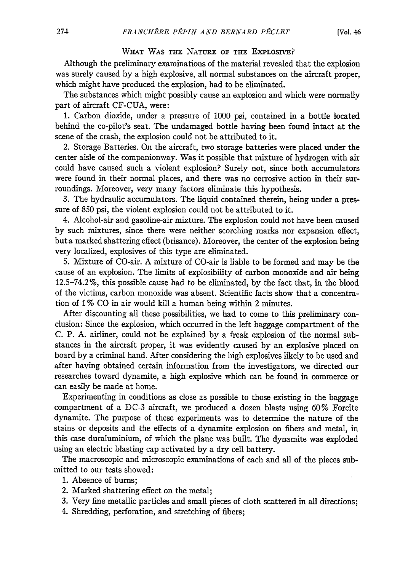#### **WHAT** WAS **THE NATURE OF THE** EXPLOSIvE?

Although the preliminary examinations of the material revealed that the explosion was surely caused by a high explosive, all normal substances on the aircraft proper, which might have produced the explosion, had to be eliminated.

The substances which might possibly cause an explosion and which were normally part of aircraft CF-CUA, were:

1. Carbon dioxide, under a pressure of 1000 psi, contained in a bottle located behind the co-pilot's seat. The undamaged bottle having been found intact at the scene of the crash, the explosion could not be attributed to it.

2. Storage Batteries. On the aircraft, two storage batteries were placed under the center aisle of the companionway. Was it possible that mixture of hydrogen with air could have caused such a violent explosion? Surely not, since both accumulators were found in their normal places, and there was no corrosive action in their surroundings. Moreover, very many factors eliminate this hypothesis.

3. The hydraulic accumulators. The liquid contained therein, being under a pressure of 850 psi, the violent explosion could not be attributed to it.

4. Alcohol-air and gasoline-air mixture. The explosion could not have been caused by such fnixtures, since there were neither scorching marks nor expansion effect, but a marked shattering effect (brisance). Moreover, the center of the explosion being very localized, explosives of this type are eliminated.

5. Mixture of CO-air. A mixture of CO-air is liable to be formed and may be the cause of an explosion. The limits of explosibility of carbon monoxide and air being 12.5-74.2%, this possible cause had to be eliminated, by the fact that, in the blood of the victims, carbon monoxide was absent. Scientific facts show that a concentration of 1% CO in air would kill a human being within 2 minutes.

After discounting all these possibilities, we had to come to this preliminary conclusion: Since the explosion, which occurred in the left baggage compartment of the C. P. A. airliner, could not be explained by a freak explosion of the normal substances in the aircraft proper, it was evidently caused by an explosive placed on board by a criminal hand. **After** considering the high explosives likely to be used and after having obtained certain information from the investigators, we directed our researches toward dynamite, a high explosive which can be found in commerce or can easily be made at home.

Experimenting in conditions as close as possible to those existing in the baggage compartment of a DC-3 aircraft, we produced a dozen blasts using 60% Forcite dynamite. The purpose of these experiments was to determine the nature of the stains or deposits and the effects of a dynamite explosion on fibers and metal, in this case duraluminium, of which the plane was built. The dynamite was exploded using an electric blasting cap activated by a dry cell battery.

The macroscopic and microscopic examinations of each and all of the pieces submitted to our tests showed:

- 1. Absence of burns;
- 2. Marked shattering effect on the metal;
- **3.** Very fine metallic particles and small pieces of cloth scattered in all directions;
- 4. Shredding, perforation, and stretching of fibers;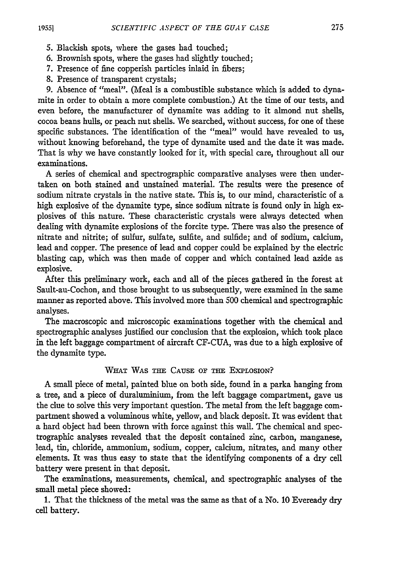- 
- 5. Blackish spots, where the gases had touched;
- **6.** Brownish spots, where the gases had slightly touched;
- 7. Presence of fine copperish particles inlaid in fibers;
- 8. Presence of transparent crystals;

9. Absence of "meal". (Meal is a combustible substance which is added to dynamite in order to obtain a more complete combustion.) At the time of our tests, and even before, the manufacturer of dynamite was adding to it almond nut shells, cocoa beans hulls, or peach nut shells. We searched, without success, for one of these specific substances. The identification of the "meal" would have revealed to us, without knowing beforehand, the type of dynamite used and the date it was made. That is why we have constantly looked for it, with special care, throughout all our examinations.

A series of chemical and spectrographic comparative analyses were then undertaken on both stained and unstained material. The results were the presence of sodium nitrate crystals in the native state. This is, to our mind, characteristic of a high explosive of the dynamite type, since sodium nitrate is found only in high explosives of this nature. These characteristic crystals were always detected when dealing with dynamite explosions of the forcite type. There was also the presence of nitrate and nitrite; of sulfur, sulfate, sulfite, and sulfide; and of sodium, calcium, lead and copper. The presence of lead and copper could be explained by the electric blasting cap, which was then made of copper and which contained lead azide as explosive.

After this preliminary work, each and all of the pieces gathered in the forest at Sault-au-Cochon, and those brought to us subsequently, were examined in the same manner as reported above. This involved more than 500 chemical and spectrographic analyses.

The macroscopic and microscopic examinations together with the chemical and spectrographic analyses justified our conclusion that the explosion, which took place in the left baggage compartment of aircraft CF-CUA, was due to a high explosive of the dynamite type.

### **WHAT** WAS **THE** CAUSE **OF THE ExPLOSION?**

A small piece of metal, painted blue on both side, found in a parka hanging from a tree, and a piece of duraluminium, from the left baggage compartment, gave us the clue to solve this very important question. The metal from the left baggage compartment showed a voluminous white, yellow, and black deposit. It was evident that a hard object had been thrown with force against this wall. The chemical and spectrographic analyses revealed that the deposit contained zinc, carbon, manganese, lead, tin, chloride, ammonium, sodium, copper, calcium, nitrates, and many other elements. It was thus easy to state that the identifying components of a dry cell battery were present in that deposit.

The examinations, measurements, chemical, and spectrographic analyses of the small metal piece showed:

**1.** That the thickness of the metal was the same as that of a No. **10** Eveready dry cell battery.